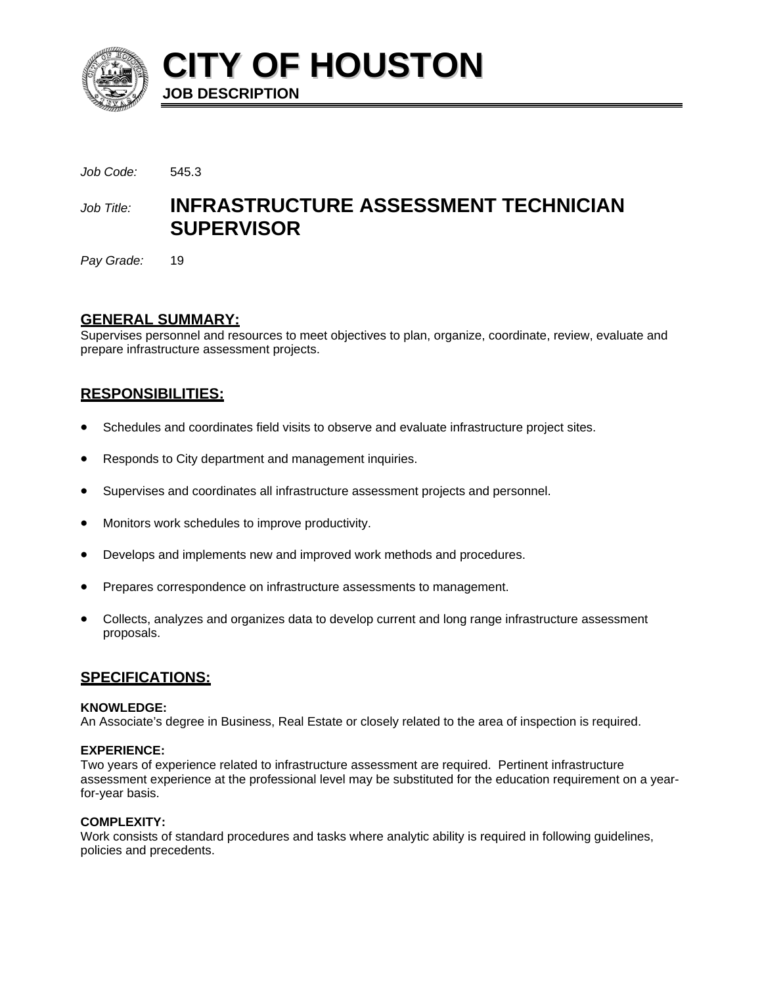

**CITY OF HOUSTON JOB DESCRIPTION** 

*Job Code:* 545.3

# *Job Title:* **INFRASTRUCTURE ASSESSMENT TECHNICIAN SUPERVISOR**

*Pay Grade:* 19

# **GENERAL SUMMARY:**

Supervises personnel and resources to meet objectives to plan, organize, coordinate, review, evaluate and prepare infrastructure assessment projects.

# **RESPONSIBILITIES:**

- Schedules and coordinates field visits to observe and evaluate infrastructure project sites.
- Responds to City department and management inquiries.
- Supervises and coordinates all infrastructure assessment projects and personnel.
- Monitors work schedules to improve productivity.
- Develops and implements new and improved work methods and procedures.
- Prepares correspondence on infrastructure assessments to management.
- Collects, analyzes and organizes data to develop current and long range infrastructure assessment proposals.

# **SPECIFICATIONS:**

## **KNOWLEDGE:**

An Associate's degree in Business, Real Estate or closely related to the area of inspection is required.

## **EXPERIENCE:**

Two years of experience related to infrastructure assessment are required. Pertinent infrastructure assessment experience at the professional level may be substituted for the education requirement on a yearfor-year basis.

## **COMPLEXITY:**

Work consists of standard procedures and tasks where analytic ability is required in following guidelines, policies and precedents.